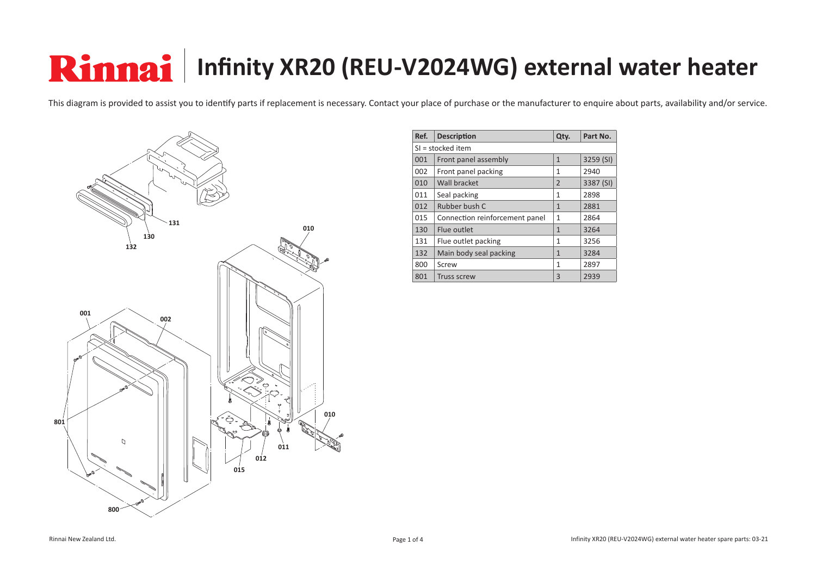## **Rinnai** | Infinity XR20 (REU-V2024WG) external water heater

This diagram is provided to assist you to identify parts if replacement is necessary. Contact your place of purchase or the manufacturer to enquire about parts, availability and/or service.



| Ref.              | <b>Description</b>             | Qty.           | Part No.  |  |  |
|-------------------|--------------------------------|----------------|-----------|--|--|
| SI = stocked item |                                |                |           |  |  |
| 001               | Front panel assembly           | 1              | 3259 (SI) |  |  |
| 002               | Front panel packing            | 1              | 2940      |  |  |
| 010               | Wall bracket                   | $\overline{2}$ | 3387 (SI) |  |  |
| 011               | Seal packing                   | 1              | 2898      |  |  |
| 012               | Rubber bush C                  | 1              | 2881      |  |  |
| 015               | Connection reinforcement panel | 1              | 2864      |  |  |
| 130               | Flue outlet                    | 1              | 3264      |  |  |
| 131               | Flue outlet packing            | 1              | 3256      |  |  |
| 132               | Main body seal packing         | 1              | 3284      |  |  |
| 800               | Screw                          | 1              | 2897      |  |  |
| 801               | <b>Truss screw</b>             | 3              | 2939      |  |  |

Rinnai New Zealand Ltd. **Page 1 of 4** Page 1 of 4 Infinity XR20 (REU-V2024WG) external water heater spare parts: 03-21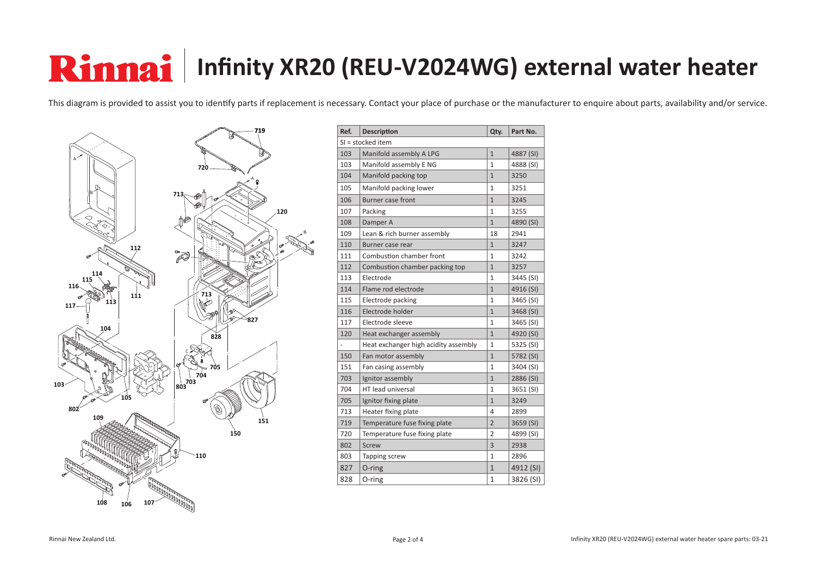## **Rinnai** | Infinity XR20 (REU-V2024WG) external water heater

This diagram is provided to assist you to identify parts if replacement is necessary. Contact your place of purchase or the manufacturer to enquire about parts, availability and/or service.



| Ref. | <b>Description</b>                   | Qty.           | Part No.  |  |  |  |
|------|--------------------------------------|----------------|-----------|--|--|--|
|      | SI = stocked item                    |                |           |  |  |  |
| 103  | Manifold assembly A LPG              | $\overline{1}$ | 4887 (SI) |  |  |  |
| 103  | Manifold assembly E NG               | $\mathbf{1}$   | 4888 (SI) |  |  |  |
| 104  | Manifold packing top                 | $\mathbf{1}$   | 3250      |  |  |  |
| 105  | Manifold packing lower               | $\mathbf{1}$   | 3251      |  |  |  |
| 106  | <b>Burner case front</b>             | $\mathbf{1}$   | 3245      |  |  |  |
| 107  | Packing                              | $\mathbf{1}$   | 3255      |  |  |  |
| 108  | Damper A                             | $\mathbf{1}$   | 4890 (SI) |  |  |  |
| 109  | Lean & rich burner assembly          | 18             | 2941      |  |  |  |
| 110  | Burner case rear                     | $\mathbf{1}$   | 3247      |  |  |  |
| 111  | Combustion chamber front             | $\mathbf{1}$   | 3242      |  |  |  |
| 112  | Combustion chamber packing top       | $\mathbf{1}$   | 3257      |  |  |  |
| 113  | Electrode                            | $\mathbf{1}$   | 3445 (SI) |  |  |  |
| 114  | Flame rod electrode                  | $\overline{1}$ | 4916 (SI) |  |  |  |
| 115  | Electrode packing                    | $\mathbf{1}$   | 3465 (SI) |  |  |  |
| 116  | Electrode holder                     | $\mathbf{1}$   | 3468 (SI) |  |  |  |
| 117  | Electrode sleeve                     | $\mathbf{1}$   | 3465 (SI) |  |  |  |
| 120  | Heat exchanger assembly              | $\mathbf{1}$   | 4920 (SI) |  |  |  |
|      | Heat exchanger high acidity assembly | $\mathbf{1}$   | 5325 (SI) |  |  |  |
| 150  | Fan motor assembly                   | $\mathbf{1}$   | 5782 (SI) |  |  |  |
| 151  | Fan casing assembly                  | $\mathbf{1}$   | 3404 (SI) |  |  |  |
| 703  | Ignitor assembly                     | $\mathbf{1}$   | 2886 (SI) |  |  |  |
| 704  | HT lead universal                    | $\mathbf{1}$   | 3651 (SI) |  |  |  |
| 705  | Ignitor fixing plate                 | $\mathbf{1}$   | 3249      |  |  |  |
| 713  | Heater fixing plate                  | 4              | 2899      |  |  |  |
| 719  | Temperature fuse fixing plate        | $\overline{2}$ | 3659 (SI) |  |  |  |
| 720  | Temperature fuse fixing plate        | 2              | 4899 (SI) |  |  |  |
| 802  | Screw                                | 3              | 2938      |  |  |  |
| 803  | Tapping screw                        | $\mathbf{1}$   | 2896      |  |  |  |
| 827  | O-ring                               | $\mathbf{1}$   | 4912 (SI) |  |  |  |
| 828  | O-ring                               | 1              | 3826 (SI) |  |  |  |

Rinnai New Zealand Ltd. **Page 2 of 4** Page 2 of 4 Infinity XR20 (REU-V2024WG) external water heater spare parts: 03-21